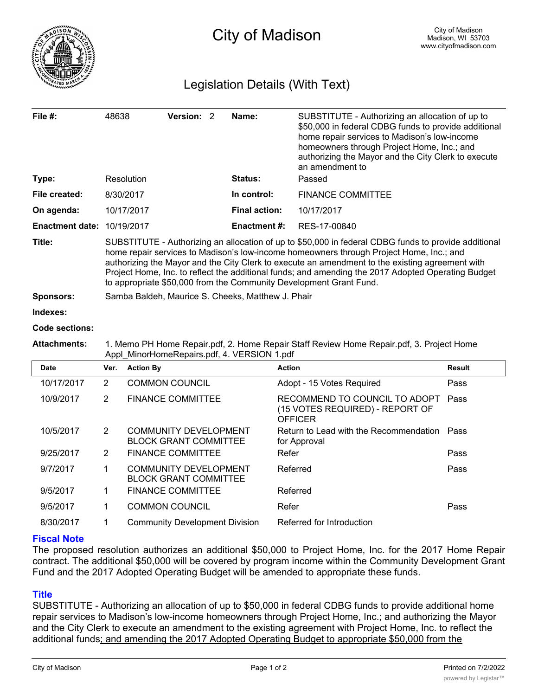

## Legislation Details (With Text)

| File #:                | 48638                                                                                                                                                                                                                                                                                                                                                                                                                                                                          | Version: 2                                                   | Name:                | SUBSTITUTE - Authorizing an allocation of up to<br>\$50,000 in federal CDBG funds to provide additional<br>home repair services to Madison's low-income<br>homeowners through Project Home, Inc.; and<br>authorizing the Mayor and the City Clerk to execute<br>an amendment to |               |  |
|------------------------|--------------------------------------------------------------------------------------------------------------------------------------------------------------------------------------------------------------------------------------------------------------------------------------------------------------------------------------------------------------------------------------------------------------------------------------------------------------------------------|--------------------------------------------------------------|----------------------|---------------------------------------------------------------------------------------------------------------------------------------------------------------------------------------------------------------------------------------------------------------------------------|---------------|--|
| Type:                  | Resolution                                                                                                                                                                                                                                                                                                                                                                                                                                                                     |                                                              | Status:              | Passed                                                                                                                                                                                                                                                                          |               |  |
| File created:          | 8/30/2017                                                                                                                                                                                                                                                                                                                                                                                                                                                                      |                                                              | In control:          | <b>FINANCE COMMITTEE</b>                                                                                                                                                                                                                                                        |               |  |
| On agenda:             | 10/17/2017                                                                                                                                                                                                                                                                                                                                                                                                                                                                     |                                                              | <b>Final action:</b> | 10/17/2017                                                                                                                                                                                                                                                                      |               |  |
| <b>Enactment date:</b> |                                                                                                                                                                                                                                                                                                                                                                                                                                                                                | 10/19/2017                                                   | <b>Enactment #:</b>  | RES-17-00840                                                                                                                                                                                                                                                                    |               |  |
| Title:                 | SUBSTITUTE - Authorizing an allocation of up to \$50,000 in federal CDBG funds to provide additional<br>home repair services to Madison's low-income homeowners through Project Home, Inc.; and<br>authorizing the Mayor and the City Clerk to execute an amendment to the existing agreement with<br>Project Home, Inc. to reflect the additional funds; and amending the 2017 Adopted Operating Budget<br>to appropriate \$50,000 from the Community Development Grant Fund. |                                                              |                      |                                                                                                                                                                                                                                                                                 |               |  |
| <b>Sponsors:</b>       | Samba Baldeh, Maurice S. Cheeks, Matthew J. Phair                                                                                                                                                                                                                                                                                                                                                                                                                              |                                                              |                      |                                                                                                                                                                                                                                                                                 |               |  |
| Indexes:               |                                                                                                                                                                                                                                                                                                                                                                                                                                                                                |                                                              |                      |                                                                                                                                                                                                                                                                                 |               |  |
| Code sections:         |                                                                                                                                                                                                                                                                                                                                                                                                                                                                                |                                                              |                      |                                                                                                                                                                                                                                                                                 |               |  |
| <b>Attachments:</b>    | 1. Memo PH Home Repair.pdf, 2. Home Repair Staff Review Home Repair.pdf, 3. Project Home<br>Appl MinorHomeRepairs.pdf, 4. VERSION 1.pdf                                                                                                                                                                                                                                                                                                                                        |                                                              |                      |                                                                                                                                                                                                                                                                                 |               |  |
| <b>Date</b>            | Ver.                                                                                                                                                                                                                                                                                                                                                                                                                                                                           | <b>Action By</b>                                             |                      | <b>Action</b>                                                                                                                                                                                                                                                                   | <b>Result</b> |  |
| 10/17/2017             | $\overline{2}$                                                                                                                                                                                                                                                                                                                                                                                                                                                                 | <b>COMMON COUNCIL</b>                                        |                      | Adopt - 15 Votes Required                                                                                                                                                                                                                                                       | Pass          |  |
| 10/9/2017              | $\overline{2}$                                                                                                                                                                                                                                                                                                                                                                                                                                                                 | <b>FINANCE COMMITTEE</b>                                     |                      | RECOMMEND TO COUNCIL TO ADOPT<br>(15 VOTES REQUIRED) - REPORT OF<br><b>OFFICER</b>                                                                                                                                                                                              | Pass          |  |
| 10/5/2017              | $\overline{2}$                                                                                                                                                                                                                                                                                                                                                                                                                                                                 | <b>COMMUNITY DEVELOPMENT</b><br><b>BLOCK GRANT COMMITTEE</b> |                      | Return to Lead with the Recommendation Pass<br>for Approval                                                                                                                                                                                                                     |               |  |
| 9/25/2017              | $\overline{2}$                                                                                                                                                                                                                                                                                                                                                                                                                                                                 | <b>FINANCE COMMITTEE</b>                                     |                      | Refer                                                                                                                                                                                                                                                                           | Pass          |  |
| 9/7/2017               | 1                                                                                                                                                                                                                                                                                                                                                                                                                                                                              | <b>COMMUNITY DEVELOPMENT</b><br><b>BLOCK GRANT COMMITTEE</b> |                      | Referred                                                                                                                                                                                                                                                                        | Pass          |  |
| 9/5/2017               | 1                                                                                                                                                                                                                                                                                                                                                                                                                                                                              | <b>FINANCE COMMITTEE</b>                                     |                      | Referred                                                                                                                                                                                                                                                                        |               |  |
| 9/5/2017               | 1                                                                                                                                                                                                                                                                                                                                                                                                                                                                              | <b>COMMON COUNCIL</b>                                        |                      | Refer                                                                                                                                                                                                                                                                           | Pass          |  |

## **Fiscal Note**

The proposed resolution authorizes an additional \$50,000 to Project Home, Inc. for the 2017 Home Repair contract. The additional \$50,000 will be covered by program income within the Community Development Grant Fund and the 2017 Adopted Operating Budget will be amended to appropriate these funds.

8/30/2017 1 Community Development Division Referred for Introduction

## **Title**

SUBSTITUTE - Authorizing an allocation of up to \$50,000 in federal CDBG funds to provide additional home repair services to Madison's low-income homeowners through Project Home, Inc.; and authorizing the Mayor and the City Clerk to execute an amendment to the existing agreement with Project Home, Inc. to reflect the additional funds; and amending the 2017 Adopted Operating Budget to appropriate \$50,000 from the